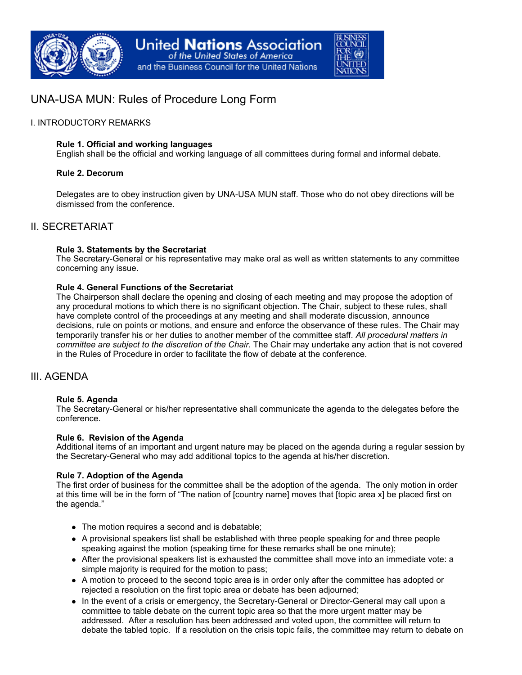

# UNA-USA MUN: Rules of Procedure Long Form

## I. INTRODUCTORY REMARKS

#### **Rule 1. Official and working languages**

English shall be the official and working language of all committees during formal and informal debate.

## **Rule 2. Decorum**

Delegates are to obey instruction given by UNA-USA MUN staff. Those who do not obey directions will be dismissed from the conference.

# II. SECRETARIAT

## **Rule 3. Statements by the Secretariat**

The Secretary-General or his representative may make oral as well as written statements to any committee concerning any issue.

## **Rule 4. General Functions of the Secretariat**

The Chairperson shall declare the opening and closing of each meeting and may propose the adoption of any procedural motions to which there is no significant objection. The Chair, subject to these rules, shall have complete control of the proceedings at any meeting and shall moderate discussion, announce decisions, rule on points or motions, and ensure and enforce the observance of these rules. The Chair may temporarily transfer his or her duties to another member of the committee staff. *All procedural matters in committee are subject to the discretion of the Chair.* The Chair may undertake any action that is not covered in the Rules of Procedure in order to facilitate the flow of debate at the conference.

# III. AGENDA

#### **Rule 5. Agenda**

The Secretary-General or his/her representative shall communicate the agenda to the delegates before the conference.

#### **Rule 6. Revision of the Agenda**

Additional items of an important and urgent nature may be placed on the agenda during a regular session by the Secretary-General who may add additional topics to the agenda at his/her discretion.

#### **Rule 7. Adoption of the Agenda**

The first order of business for the committee shall be the adoption of the agenda. The only motion in order at this time will be in the form of "The nation of [country name] moves that [topic area x] be placed first on the agenda."

- The motion requires a second and is debatable;
- A provisional speakers list shall be established with three people speaking for and three people speaking against the motion (speaking time for these remarks shall be one minute);
- After the provisional speakers list is exhausted the committee shall move into an immediate vote: a simple majority is required for the motion to pass;
- A motion to proceed to the second topic area is in order only after the committee has adopted or rejected a resolution on the first topic area or debate has been adjourned;
- In the event of a crisis or emergency, the Secretary-General or Director-General may call upon a committee to table debate on the current topic area so that the more urgent matter may be addressed. After a resolution has been addressed and voted upon, the committee will return to debate the tabled topic. If a resolution on the crisis topic fails, the committee may return to debate on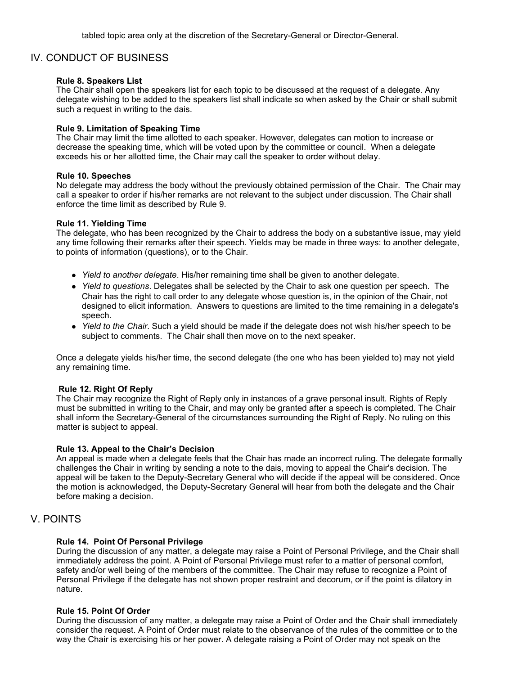# IV. CONDUCT OF BUSINESS

#### **Rule 8. Speakers List**

The Chair shall open the speakers list for each topic to be discussed at the request of a delegate. Any delegate wishing to be added to the speakers list shall indicate so when asked by the Chair or shall submit such a request in writing to the dais.

#### **Rule 9. Limitation of Speaking Time**

The Chair may limit the time allotted to each speaker. However, delegates can motion to increase or decrease the speaking time, which will be voted upon by the committee or council. When a delegate exceeds his or her allotted time, the Chair may call the speaker to order without delay.

#### **Rule 10. Speeches**

No delegate may address the body without the previously obtained permission of the Chair. The Chair may call a speaker to order if his/her remarks are not relevant to the subject under discussion. The Chair shall enforce the time limit as described by Rule 9.

#### **Rule 11. Yielding Time**

The delegate, who has been recognized by the Chair to address the body on a substantive issue, may yield any time following their remarks after their speech. Yields may be made in three ways: to another delegate, to points of information (questions), or to the Chair.

- *Yield to another delegate*. His/her remaining time shall be given to another delegate.
- *Yield to questions*. Delegates shall be selected by the Chair to ask one question per speech. The Chair has the right to call order to any delegate whose question is, in the opinion of the Chair, not designed to elicit information. Answers to questions are limited to the time remaining in a delegate's speech.
- *Yield to the Chair*. Such a yield should be made if the delegate does not wish his/her speech to be subject to comments. The Chair shall then move on to the next speaker.

Once a delegate yields his/her time, the second delegate (the one who has been yielded to) may not yield any remaining time.

#### **Rule 12. Right Of Reply**

The Chair may recognize the Right of Reply only in instances of a grave personal insult. Rights of Reply must be submitted in writing to the Chair, and may only be granted after a speech is completed. The Chair shall inform the Secretary-General of the circumstances surrounding the Right of Reply. No ruling on this matter is subject to appeal.

#### **Rule 13. Appeal to the Chair's Decision**

An appeal is made when a delegate feels that the Chair has made an incorrect ruling. The delegate formally challenges the Chair in writing by sending a note to the dais, moving to appeal the Chair's decision. The appeal will be taken to the Deputy-Secretary General who will decide if the appeal will be considered. Once the motion is acknowledged, the Deputy-Secretary General will hear from both the delegate and the Chair before making a decision.

# V. POINTS

#### **Rule 14. Point Of Personal Privilege**

During the discussion of any matter, a delegate may raise a Point of Personal Privilege, and the Chair shall immediately address the point. A Point of Personal Privilege must refer to a matter of personal comfort, safety and/or well being of the members of the committee. The Chair may refuse to recognize a Point of Personal Privilege if the delegate has not shown proper restraint and decorum, or if the point is dilatory in nature.

#### **Rule 15. Point Of Order**

During the discussion of any matter, a delegate may raise a Point of Order and the Chair shall immediately consider the request. A Point of Order must relate to the observance of the rules of the committee or to the way the Chair is exercising his or her power. A delegate raising a Point of Order may not speak on the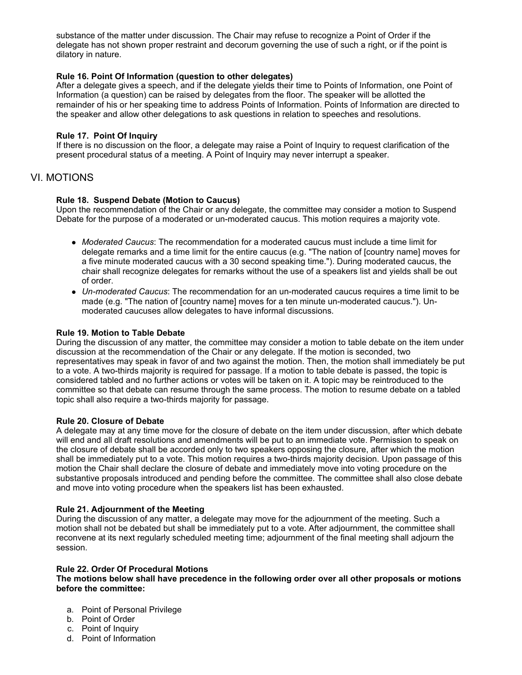substance of the matter under discussion. The Chair may refuse to recognize a Point of Order if the delegate has not shown proper restraint and decorum governing the use of such a right, or if the point is dilatory in nature.

## **Rule 16. Point Of Information (question to other delegates)**

After a delegate gives a speech, and if the delegate yields their time to Points of Information, one Point of Information (a question) can be raised by delegates from the floor. The speaker will be allotted the remainder of his or her speaking time to address Points of Information. Points of Information are directed to the speaker and allow other delegations to ask questions in relation to speeches and resolutions.

## **Rule 17. Point Of Inquiry**

If there is no discussion on the floor, a delegate may raise a Point of Inquiry to request clarification of the present procedural status of a meeting. A Point of Inquiry may never interrupt a speaker.

# VI. MOTIONS

## **Rule 18. Suspend Debate (Motion to Caucus)**

Upon the recommendation of the Chair or any delegate, the committee may consider a motion to Suspend Debate for the purpose of a moderated or un-moderated caucus. This motion requires a majority vote.

- *Moderated Caucus*: The recommendation for a moderated caucus must include a time limit for delegate remarks and a time limit for the entire caucus (e.g. "The nation of [country name] moves for a five minute moderated caucus with a 30 second speaking time."). During moderated caucus, the chair shall recognize delegates for remarks without the use of a speakers list and yields shall be out of order.
- *Un-moderated Caucus*: The recommendation for an un-moderated caucus requires a time limit to be made (e.g. "The nation of [country name] moves for a ten minute un-moderated caucus."). Unmoderated caucuses allow delegates to have informal discussions.

#### **Rule 19. Motion to Table Debate**

During the discussion of any matter, the committee may consider a motion to table debate on the item under discussion at the recommendation of the Chair or any delegate. If the motion is seconded, two representatives may speak in favor of and two against the motion. Then, the motion shall immediately be put to a vote. A two-thirds majority is required for passage. If a motion to table debate is passed, the topic is considered tabled and no further actions or votes will be taken on it. A topic may be reintroduced to the committee so that debate can resume through the same process. The motion to resume debate on a tabled topic shall also require a two-thirds majority for passage.

#### **Rule 20. Closure of Debate**

A delegate may at any time move for the closure of debate on the item under discussion, after which debate will end and all draft resolutions and amendments will be put to an immediate vote. Permission to speak on the closure of debate shall be accorded only to two speakers opposing the closure, after which the motion shall be immediately put to a vote. This motion requires a two-thirds majority decision. Upon passage of this motion the Chair shall declare the closure of debate and immediately move into voting procedure on the substantive proposals introduced and pending before the committee. The committee shall also close debate and move into voting procedure when the speakers list has been exhausted.

#### **Rule 21. Adjournment of the Meeting**

During the discussion of any matter, a delegate may move for the adjournment of the meeting. Such a motion shall not be debated but shall be immediately put to a vote. After adjournment, the committee shall reconvene at its next regularly scheduled meeting time; adjournment of the final meeting shall adjourn the session.

#### **Rule 22. Order Of Procedural Motions**

#### **The motions below shall have precedence in the following order over all other proposals or motions before the committee:**

- a. Point of Personal Privilege
- b. Point of Order
- c. Point of Inquiry
- d. Point of Information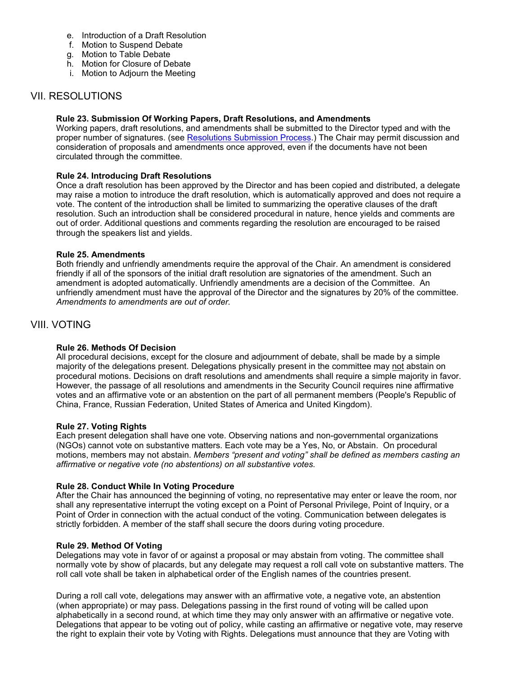- e. Introduction of a Draft Resolution
- f. Motion to Suspend Debate
- g. Motion to Table Debate
- h. Motion for Closure of Debate
- i. Motion to Adjourn the Meeting

# VII. RESOLUTIONS

## **Rule 23. Submission Of Working Papers, Draft Resolutions, and Amendments**

Working papers, draft resolutions, and amendments shall be submitted to the Director typed and with the proper number of signatures. (see Resolutions Submission Process.) The Chair may permit discussion and consideration of proposals and amendments once approved, even if the documents have not been circulated through the committee.

## **Rule 24. Introducing Draft Resolutions**

Once a draft resolution has been approved by the Director and has been copied and distributed, a delegate may raise a motion to introduce the draft resolution, which is automatically approved and does not require a vote. The content of the introduction shall be limited to summarizing the operative clauses of the draft resolution. Such an introduction shall be considered procedural in nature, hence yields and comments are out of order. Additional questions and comments regarding the resolution are encouraged to be raised through the speakers list and yields.

## **Rule 25. Amendments**

Both friendly and unfriendly amendments require the approval of the Chair. An amendment is considered friendly if all of the sponsors of the initial draft resolution are signatories of the amendment. Such an amendment is adopted automatically. Unfriendly amendments are a decision of the Committee. An unfriendly amendment must have the approval of the Director and the signatures by 20% of the committee. *Amendments to amendments are out of order.* 

# VIII. VOTING

# **Rule 26. Methods Of Decision**

All procedural decisions, except for the closure and adjournment of debate, shall be made by a simple majority of the delegations present. Delegations physically present in the committee may not abstain on procedural motions. Decisions on draft resolutions and amendments shall require a simple majority in favor. However, the passage of all resolutions and amendments in the Security Council requires nine affirmative votes and an affirmative vote or an abstention on the part of all permanent members (People's Republic of China, France, Russian Federation, United States of America and United Kingdom).

#### **Rule 27. Voting Rights**

Each present delegation shall have one vote. Observing nations and non-governmental organizations (NGOs) cannot vote on substantive matters. Each vote may be a Yes, No, or Abstain. On procedural motions, members may not abstain. *Members "present and voting" shall be defined as members casting an affirmative or negative vote (no abstentions) on all substantive votes.* 

#### **Rule 28. Conduct While In Voting Procedure**

After the Chair has announced the beginning of voting, no representative may enter or leave the room, nor shall any representative interrupt the voting except on a Point of Personal Privilege, Point of Inquiry, or a Point of Order in connection with the actual conduct of the voting. Communication between delegates is strictly forbidden. A member of the staff shall secure the doors during voting procedure.

#### **Rule 29. Method Of Voting**

Delegations may vote in favor of or against a proposal or may abstain from voting. The committee shall normally vote by show of placards, but any delegate may request a roll call vote on substantive matters. The roll call vote shall be taken in alphabetical order of the English names of the countries present.

During a roll call vote, delegations may answer with an affirmative vote, a negative vote, an abstention (when appropriate) or may pass. Delegations passing in the first round of voting will be called upon alphabetically in a second round, at which time they may only answer with an affirmative or negative vote. Delegations that appear to be voting out of policy, while casting an affirmative or negative vote, may reserve the right to explain their vote by Voting with Rights. Delegations must announce that they are Voting with